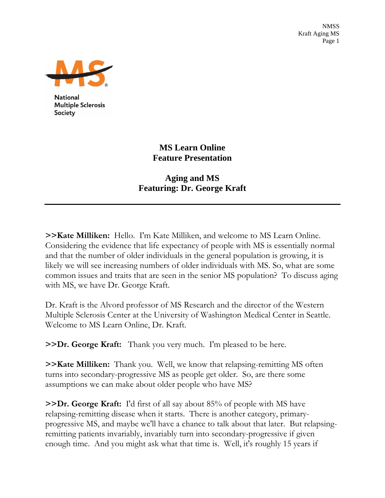NMSS Kraft Aging MS Page 1



**National Multiple Sclerosis Society** 

## **MS Learn Online Feature Presentation**

## **Aging and MS Featuring: Dr. George Kraft**

**>>Kate Milliken:** Hello. I'm Kate Milliken, and welcome to MS Learn Online. Considering the evidence that life expectancy of people with MS is essentially normal and that the number of older individuals in the general population is growing, it is likely we will see increasing numbers of older individuals with MS. So, what are some common issues and traits that are seen in the senior MS population? To discuss aging with MS, we have Dr. George Kraft.

Dr. Kraft is the Alvord professor of MS Research and the director of the Western Multiple Sclerosis Center at the University of Washington Medical Center in Seattle. Welcome to MS Learn Online, Dr. Kraft.

**>>Dr. George Kraft:** Thank you very much. I'm pleased to be here.

**>>Kate Milliken:** Thank you. Well, we know that relapsing-remitting MS often turns into secondary-progressive MS as people get older. So, are there some assumptions we can make about older people who have MS?

**>>Dr. George Kraft:** I'd first of all say about 85% of people with MS have relapsing-remitting disease when it starts. There is another category, primaryprogressive MS, and maybe we'll have a chance to talk about that later. But relapsingremitting patients invariably, invariably turn into secondary-progressive if given enough time. And you might ask what that time is. Well, it's roughly 15 years if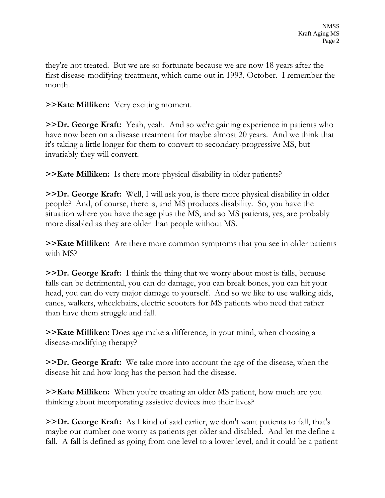they're not treated. But we are so fortunate because we are now 18 years after the first disease-modifying treatment, which came out in 1993, October. I remember the month.

## **>>Kate Milliken:** Very exciting moment.

**>>Dr. George Kraft:** Yeah, yeah. And so we're gaining experience in patients who have now been on a disease treatment for maybe almost 20 years. And we think that it's taking a little longer for them to convert to secondary-progressive MS, but invariably they will convert.

**>>Kate Milliken:** Is there more physical disability in older patients?

**>>Dr. George Kraft:** Well, I will ask you, is there more physical disability in older people? And, of course, there is, and MS produces disability. So, you have the situation where you have the age plus the MS, and so MS patients, yes, are probably more disabled as they are older than people without MS.

**>>Kate Milliken:** Are there more common symptoms that you see in older patients with MS?

**>>Dr. George Kraft:** I think the thing that we worry about most is falls, because falls can be detrimental, you can do damage, you can break bones, you can hit your head, you can do very major damage to yourself. And so we like to use walking aids, canes, walkers, wheelchairs, electric scooters for MS patients who need that rather than have them struggle and fall.

**>>Kate Milliken:** Does age make a difference, in your mind, when choosing a disease-modifying therapy?

**>>Dr. George Kraft:** We take more into account the age of the disease, when the disease hit and how long has the person had the disease.

**>>Kate Milliken:** When you're treating an older MS patient, how much are you thinking about incorporating assistive devices into their lives?

**>>Dr. George Kraft:** As I kind of said earlier, we don't want patients to fall, that's maybe our number one worry as patients get older and disabled. And let me define a fall. A fall is defined as going from one level to a lower level, and it could be a patient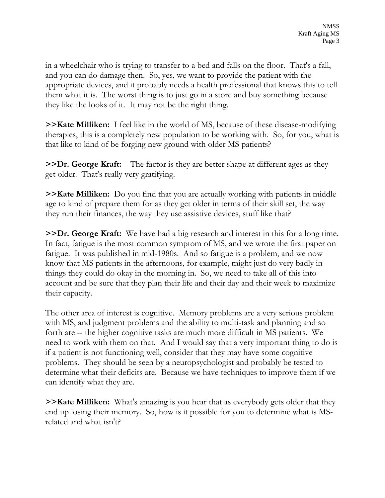in a wheelchair who is trying to transfer to a bed and falls on the floor. That's a fall, and you can do damage then. So, yes, we want to provide the patient with the appropriate devices, and it probably needs a health professional that knows this to tell them what it is. The worst thing is to just go in a store and buy something because they like the looks of it. It may not be the right thing.

**>>Kate Milliken:** I feel like in the world of MS, because of these disease-modifying therapies, this is a completely new population to be working with. So, for you, what is that like to kind of be forging new ground with older MS patients?

**>>Dr. George Kraft:** The factor is they are better shape at different ages as they get older. That's really very gratifying.

**>>Kate Milliken:** Do you find that you are actually working with patients in middle age to kind of prepare them for as they get older in terms of their skill set, the way they run their finances, the way they use assistive devices, stuff like that?

**>>Dr. George Kraft:** We have had a big research and interest in this for a long time. In fact, fatigue is the most common symptom of MS, and we wrote the first paper on fatigue. It was published in mid-1980s. And so fatigue is a problem, and we now know that MS patients in the afternoons, for example, might just do very badly in things they could do okay in the morning in. So, we need to take all of this into account and be sure that they plan their life and their day and their week to maximize their capacity.

The other area of interest is cognitive. Memory problems are a very serious problem with MS, and judgment problems and the ability to multi-task and planning and so forth are -- the higher cognitive tasks are much more difficult in MS patients. We need to work with them on that. And I would say that a very important thing to do is if a patient is not functioning well, consider that they may have some cognitive problems. They should be seen by a neuropsychologist and probably be tested to determine what their deficits are. Because we have techniques to improve them if we can identify what they are.

**>>Kate Milliken:** What's amazing is you hear that as everybody gets older that they end up losing their memory. So, how is it possible for you to determine what is MSrelated and what isn't?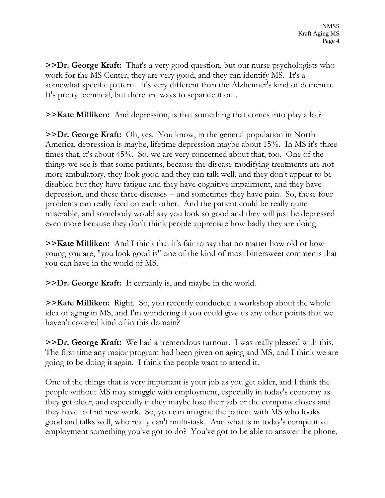**>>Dr. George Kraft:** That's a very good question, but our nurse psychologists who work for the MS Center, they are very good, and they can identify MS. It's a somewhat specific pattern. It's very different than the Alzheimer's kind of dementia. It's pretty technical, but there are ways to separate it out.

**>>Kate Milliken:** And depression, is that something that comes into play a lot?

**>>Dr. George Kraft:** Oh, yes. You know, in the general population in North America, depression is maybe, lifetime depression maybe about 15%. In MS it's three times that, it's about 45%. So, we are very concerned about that, too. One of the things we see is that some patients, because the disease-modifying treatments are not more ambulatory, they look good and they can talk well, and they don't appear to be disabled but they have fatigue and they have cognitive impairment, and they have depression, and these three diseases -- and sometimes they have pain. So, these four problems can really feed on each other. And the patient could be really quite miserable, and somebody would say you look so good and they will just be depressed even more because they don't think people appreciate how badly they are doing.

**>>Kate Milliken:** And I think that it's fair to say that no matter how old or how young you are, "you look good is" one of the kind of most bittersweet comments that you can have in the world of MS.

**>>Dr. George Kraft:** It certainly is, and maybe in the world.

**>>Kate Milliken:** Right. So, you recently conducted a workshop about the whole idea of aging in MS, and I'm wondering if you could give us any other points that we haven't covered kind of in this domain?

**>>Dr. George Kraft:** We had a tremendous turnout. I was really pleased with this. The first time any major program had been given on aging and MS, and I think we are going to be doing it again. I think the people want to attend it.

One of the things that is very important is your job as you get older, and I think the people without MS may struggle with employment, especially in today's economy as they get older, and especially if they maybe lose their job or the company closes and they have to find new work. So, you can imagine the patient with MS who looks good and talks well, who really can't multi-task. And what is in today's competitive employment something you've got to do? You've got to be able to answer the phone,